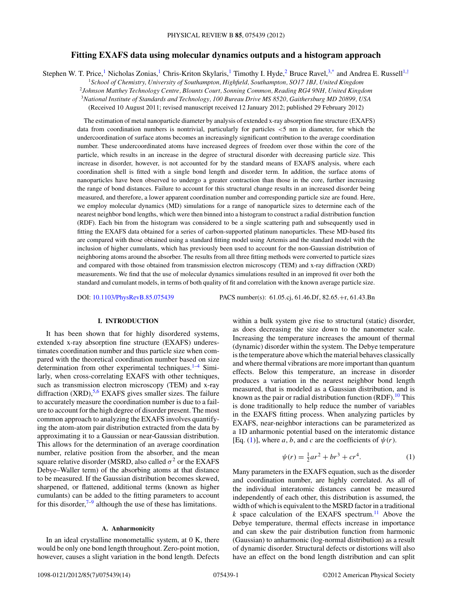# **Fitting EXAFS data using molecular dynamics outputs and a histogram approach**

<span id="page-0-0"></span>Stephen W. T. Price,<sup>1</sup> Nicholas Zonias,<sup>1</sup> Chris-Kriton Skylaris,<sup>1</sup> Timothy I. Hyde,<sup>2</sup> Bruce Ravel,<sup>3[,\\*](#page-12-0)</sup> and Andrea E. Russell<sup>1,[†](#page-12-0)</sup>

<sup>1</sup>*School of Chemistry, University of Southampton, Highfield, Southampton, SO17 1BJ, United Kingdom*

<sup>2</sup>*Johnson Matthey Technology Centre, Blounts Court, Sonning Common, Reading RG4 9NH, United Kingdom*

<sup>3</sup>*National Institute of Standards and Technology, 100 Bureau Drive MS 8520, Gaithersburg MD 20899, USA*

(Received 10 August 2011; revised manuscript received 12 January 2012; published 29 February 2012)

The estimation of metal nanoparticle diameter by analysis of extended x-ray absorption fine structure (EXAFS) data from coordination numbers is nontrivial, particularly for particles *<*5 nm in diameter, for which the undercoordination of surface atoms becomes an increasingly significant contribution to the average coordination number. These undercoordinated atoms have increased degrees of freedom over those within the core of the particle, which results in an increase in the degree of structural disorder with decreasing particle size. This increase in disorder, however, is not accounted for by the standard means of EXAFS analysis, where each coordination shell is fitted with a single bond length and disorder term. In addition, the surface atoms of nanoparticles have been observed to undergo a greater contraction than those in the core, further increasing the range of bond distances. Failure to account for this structural change results in an increased disorder being measured, and therefore, a lower apparent coordination number and corresponding particle size are found. Here, we employ molecular dynamics (MD) simulations for a range of nanoparticle sizes to determine each of the nearest neighbor bond lengths, which were then binned into a histogram to construct a radial distribution function (RDF). Each bin from the histogram was considered to be a single scattering path and subsequently used in fitting the EXAFS data obtained for a series of carbon-supported platinum nanoparticles. These MD-based fits are compared with those obtained using a standard fitting model using Artemis and the standard model with the inclusion of higher cumulants, which has previously been used to account for the non-Gaussian distribution of neighboring atoms around the absorber. The results from all three fitting methods were converted to particle sizes and compared with those obtained from transmission electron microscopy (TEM) and x-ray diffraction (XRD) measurements. We find that the use of molecular dynamics simulations resulted in an improved fit over both the standard and cumulant models, in terms of both quality of fit and correlation with the known average particle size.

DOI: [10.1103/PhysRevB.85.075439](http://dx.doi.org/10.1103/PhysRevB.85.075439) PACS number(s): 61*.*05*.*cj, 61*.*46*.*Df, 82*.*65*.*+r, 61*.*43*.*Bn

#### **I. INTRODUCTION**

It has been shown that for highly disordered systems, extended x-ray absorption fine structure (EXAFS) underestimates coordination number and thus particle size when compared with the theoretical coordination number based on size determination from other experimental techniques. $1-4$  Similarly, when cross-correlating EXAFS with other techniques, such as transmission electron microscopy (TEM) and x-ray diffraction  $(XRD)$ ,<sup>[5,6](#page-12-0)</sup> EXAFS gives smaller sizes. The failure to accurately measure the coordination number is due to a failure to account for the high degree of disorder present. The most common approach to analyzing the EXAFS involves quantifying the atom-atom pair distribution extracted from the data by approximating it to a Gaussian or near-Gaussian distribution. This allows for the determination of an average coordination number, relative position from the absorber, and the mean square relative disorder (MSRD, also called  $\sigma^2$  or the EXAFS Debye–Waller term) of the absorbing atoms at that distance to be measured. If the Gaussian distribution becomes skewed, sharpened, or flattened, additional terms (known as higher cumulants) can be added to the fitting parameters to account for this disorder, $7-9$  although the use of these has limitations.

### **A. Anharmonicity**

In an ideal crystalline monometallic system, at 0 K, there would be only one bond length throughout. Zero-point motion, however, causes a slight variation in the bond length. Defects within a bulk system give rise to structural (static) disorder, as does decreasing the size down to the nanometer scale. Increasing the temperature increases the amount of thermal (dynamic) disorder within the system. The Debye temperature is the temperature above which the material behaves classically and where thermal vibrations are more important than quantum effects. Below this temperature, an increase in disorder produces a variation in the nearest neighbor bond length measured, that is modeled as a Gaussian distribution, and is known as the pair or radial distribution function  $(RDF)$ .<sup>10</sup> This is done traditionally to help reduce the number of variables in the EXAFS fitting process. When analyzing particles by EXAFS, near-neighbor interactions can be parameterized as a 1D anharmonic potential based on the interatomic distance [Eq. (1)], where *a*, *b*, and *c* are the coefficients of  $\psi(r)$ .

$$
\psi(r) = \frac{1}{2}ar^2 + br^3 + cr^4.
$$
 (1)

Many parameters in the EXAFS equation, such as the disorder and coordination number, are highly correlated. As all of the individual interatomic distances cannot be measured independently of each other, this distribution is assumed, the width of which is equivalent to the MSRD factor in a traditional  $k$  space calculation of the EXAFS spectrum.<sup>11</sup> Above the Debye temperature, thermal effects increase in importance and can skew the pair distribution function from harmonic (Gaussian) to anharmonic (log-normal distribution) as a result of dynamic disorder. Structural defects or distortions will also have an effect on the bond length distribution and can split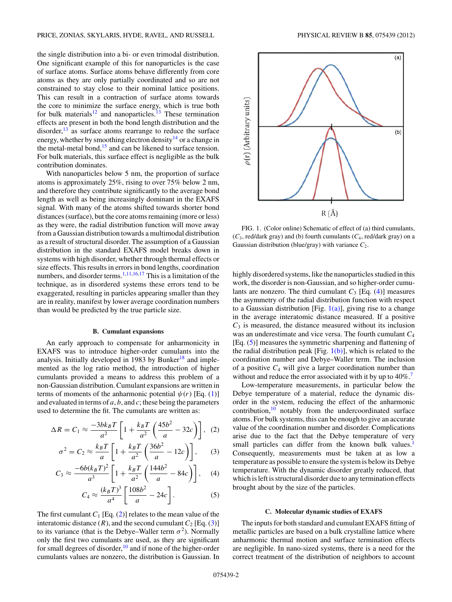<span id="page-1-0"></span>the single distribution into a bi- or even trimodal distribution. One significant example of this for nanoparticles is the case of surface atoms. Surface atoms behave differently from core atoms as they are only partially coordinated and so are not constrained to stay close to their nominal lattice positions. This can result in a contraction of surface atoms towards the core to minimize the surface energy, which is true both for bulk materials<sup>12</sup> and nanoparticles.<sup>[13](#page-12-0)</sup> These termination effects are present in both the bond length distribution and the disorder, $13$  as surface atoms rearrange to reduce the surface energy, whether by smoothing electron density $14$  or a change in the metal-metal bond, $15$  and can be likened to surface tension. For bulk materials, this surface effect is negligible as the bulk contribution dominates.

With nanoparticles below 5 nm, the proportion of surface atoms is approximately 25%, rising to over 75% below 2 nm, and therefore they contribute significantly to the average bond length as well as being increasingly dominant in the EXAFS signal. With many of the atoms shifted towards shorter bond distances (surface), but the core atoms remaining (more or less) as they were, the radial distribution function will move away from a Gaussian distribution towards a multimodal distribution as a result of structural disorder. The assumption of a Gaussian distribution in the standard EXAFS model breaks down in systems with high disorder, whether through thermal effects or size effects. This results in errors in bond lengths, coordination numbers, and disorder terms. $1,11,16,17$  This is a limitation of the technique, as in disordered systems these errors tend to be exaggerated, resulting in particles appearing smaller than they are in reality, manifest by lower average coordination numbers than would be predicted by the true particle size.

#### **B. Cumulant expansions**

An early approach to compensate for anharmonicity in EXAFS was to introduce higher-order cumulants into the analysis. Initially developed in 1983 by Bunker $^{18}$  $^{18}$  $^{18}$  and implemented as the log ratio method, the introduction of higher cumulants provided a means to address this problem of a non-Gaussian distribution. Cumulant expansions are written in terms of moments of the anharmonic potential  $\psi(r)$  [Eq. [\(1\)](#page-0-0)] and evaluated in terms of *a*, *b*, and *c*; these being the parameters used to determine the fit. The cumulants are written as:

$$
\Delta R = C_1 \approx \frac{-3bk_B T}{a^2} \left[ 1 + \frac{k_B T}{a^2} \left( \frac{45b^2}{a} - 32c \right) \right], \tag{2}
$$

$$
\sigma^2 = C_2 \approx \frac{k_B T}{a} \left[ 1 + \frac{k_B T}{a^2} \left( \frac{36b^2}{a} - 12c \right) \right],\qquad(3)
$$

$$
C_3 \approx \frac{-6b(k_BT)^2}{a^3} \left[ 1 + \frac{k_BT}{a^2} \left( \frac{144b^2}{a} - 84c \right) \right], \quad (4)
$$

$$
C_4 \approx \frac{(k_B T)^3}{a^4} \left[ \frac{108b^2}{a} - 24c \right].
$$
 (5)

The first cumulant  $C_1$  [Eq. (2)] relates to the mean value of the interatomic distance  $(R)$ , and the second cumulant  $C_2$  [Eq. (3)] to its variance (that is the Debye–Waller term  $\sigma^2$ ). Normally only the first two cumulants are used, as they are significant for small degrees of disorder,  $\frac{10}{10}$  $\frac{10}{10}$  $\frac{10}{10}$  and if none of the higher-order cumulants values are nonzero, the distribution is Gaussian. In



FIG. 1. (Color online) Schematic of effect of (a) third cumulants,  $(C_3, \text{red}/\text{dark gray})$  and (b) fourth cumulants  $(C_4, \text{red}/\text{dark gray})$  on a Gaussian distribution (blue/gray) with variance  $C_2$ .

highly disordered systems, like the nanoparticles studied in this work, the disorder is non-Gaussian, and so higher-order cumulants are nonzero. The third cumulant  $C_3$  [Eq. (4)] measures the asymmetry of the radial distribution function with respect to a Gaussian distribution [Fig.  $1(a)$ ], giving rise to a change in the average interatomic distance measured. If a positive  $C_3$  is measured, the distance measured without its inclusion was an underestimate and vice versa. The fourth cumulant *C*<sup>4</sup> [Eq. (5)] measures the symmetric sharpening and flattening of the radial distribution peak  $[Fig. 1(b)]$ , which is related to the coordination number and Debye–Waller term. The inclusion of a positive  $C_4$  will give a larger coordination number than without and reduce the error associated with it by up to 40%.<sup>[7](#page-12-0)</sup>

Low-temperature measurements, in particular below the Debye temperature of a material, reduce the dynamic disorder in the system, reducing the effect of the anharmonic contribution, $10$  notably from the undercoordinated surface atoms. For bulk systems, this can be enough to give an accurate value of the coordination number and disorder. Complications arise due to the fact that the Debye temperature of very small particles can differ from the known bulk values.<sup>1</sup> Consequently, measurements must be taken at as low a temperature as possible to ensure the system is below its Debye temperature. With the dynamic disorder greatly reduced, that which is left is structural disorder due to any termination effects brought about by the size of the particles.

#### **C. Molecular dynamic studies of EXAFS**

The inputs for both standard and cumulant EXAFS fitting of metallic particles are based on a bulk crystalline lattice where anharmonic thermal motion and surface termination effects are negligible. In nano-sized systems, there is a need for the correct treatment of the distribution of neighbors to account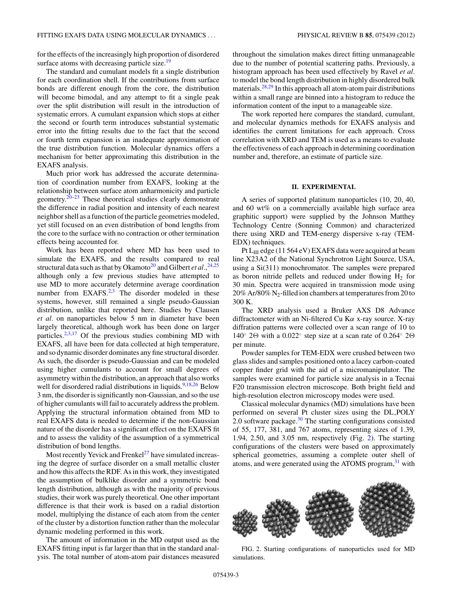for the effects of the increasingly high proportion of disordered surface atoms with decreasing particle size.<sup>[19](#page-12-0)</sup>

The standard and cumulant models fit a single distribution for each coordination shell. If the contributions from surface bonds are different enough from the core, the distribution will become bimodal, and any attempt to fit a single peak over the split distribution will result in the introduction of systematic errors. A cumulant expansion which stops at either the second or fourth term introduces substantial systematic error into the fitting results due to the fact that the second or fourth term expansion is an inadequate approximation of the true distribution function. Molecular dynamics offers a mechanism for better approximating this distribution in the EXAFS analysis.

Much prior work has addressed the accurate determination of coordination number from EXAFS, looking at the relationship between surface atom anharmonicity and particle geometry. $20-23$  These theoretical studies clearly demonstrate the difference in radial position and intensity of each nearest neighbor shell as a function of the particle geometries modeled, yet still focused on an even distribution of bond lengths from the core to the surface with no contraction or other termination effects being accounted for.

Work has been reported where MD has been used to simulate the EXAFS, and the results compared to real structural data such as that by Okamoto<sup>20</sup> and Gilbert *et al*.,<sup>[24,25](#page-13-0)</sup> although only a few previous studies have attempted to use MD to more accurately determine average coordination number from  $EXAFS<sup>2,3</sup>$  $EXAFS<sup>2,3</sup>$  $EXAFS<sup>2,3</sup>$  The disorder modeled in these systems, however, still remained a single pseudo-Gaussian distribution, unlike that reported here. Studies by Clausen *et al.* on nanoparticles below 5 nm in diameter have been largely theoretical, although work has been done on larger particles. $2,3,17$  Of the previous studies combining MD with EXAFS, all have been for data collected at high temperature, and so dynamic disorder dominates any fine structural disorder. As such, the disorder is pseudo-Gaussian and can be modeled using higher cumulants to account for small degrees of asymmetry within the distribution, an approach that also works well for disordered radial distributions in liquids.<sup>9,18[,26](#page-13-0)</sup> Below 3 nm, the disorder is significantly non-Gaussian, and so the use of higher cumulants will fail to accurately address the problem. Applying the structural information obtained from MD to real EXAFS data is needed to determine if the non-Gaussian nature of the disorder has a significant effect on the EXAFS fit and to assess the validity of the assumption of a symmetrical distribution of bond lengths.

Most recently Yevick and Frenkel<sup>[27](#page-13-0)</sup> have simulated increasing the degree of surface disorder on a small metallic cluster and how this affects the RDF. As in this work, they investigated the assumption of bulklike disorder and a symmetric bond length distribution, although as with the majority of previous studies, their work was purely theoretical. One other important difference is that their work is based on a radial distortion model, multiplying the distance of each atom from the center of the cluster by a distortion function rather than the molecular dynamic modeling performed in this work.

The amount of information in the MD output used as the EXAFS fitting input is far larger than that in the standard analysis. The total number of atom-atom pair distances measured throughout the simulation makes direct fitting unmanageable due to the number of potential scattering paths. Previously, a histogram approach has been used effectively by Ravel *et al.* to model the bond length distribution in highly disordered bulk materials.[28,29](#page-13-0) In this approach all atom-atom pair distributions within a small range are binned into a histogram to reduce the information content of the input to a manageable size.

The work reported here compares the standard, cumulant, and molecular dynamics methods for EXAFS analysis and identifies the current limitations for each approach. Cross correlation with XRD and TEM is used as a means to evaluate the effectiveness of each approach in determining coordination number and, therefore, an estimate of particle size.

### **II. EXPERIMENTAL**

A series of supported platinum nanoparticles (10, 20, 40, and 60 wt% on a commercially available high surface area graphitic support) were supplied by the Johnson Matthey Technology Centre (Sonning Common) and characterized there using XRD and TEM-energy dispersive x-ray (TEM-EDX) techniques.

Pt  $L_{III}$  edge (11 564 eV) EXAFS data were acquired at beam line X23A2 of the National Synchrotron Light Source, USA, using a Si(311) monochromator. The samples were prepared as boron nitride pellets and reduced under flowing  $H_2$  for 30 min. Spectra were acquired in transmission mode using 20% Ar/80% N<sub>2</sub>-filled ion chambers at temperatures from 20 to 300 K.

The XRD analysis used a Bruker AXS D8 Advance diffractometer with an Ni-filtered Cu K*α* x-ray source. X-ray diffration patterns were collected over a scan range of 10 to 140 $\degree$  2 $\Theta$  with a 0.022 $\degree$  step size at a scan rate of 0.264 $\degree$  2 $\Theta$ per minute.

Powder samples for TEM-EDX were crushed between two glass slides and samples positioned onto a lacey carbon-coated copper finder grid with the aid of a micromanipulator. The samples were examined for particle size analysis in a Tecnai F20 transmission electron microscope. Both bright field and high-resolution electron microscopy modes were used.

Classical molecular dynamics (MD) simulations have been performed on several Pt cluster sizes using the DL POLY 2.0 software package. $30$  The starting configurations consisted of 55, 177, 381, and 767 atoms, representing sizes of 1.39, 1.94, 2.50, and 3.05 nm, respectively (Fig. 2). The starting configurations of the clusters were based on approximately spherical geometries, assuming a complete outer shell of atoms, and were generated using the ATOMS program, $31$  with



FIG. 2. Starting configurations of nanoparticles used for MD simulations.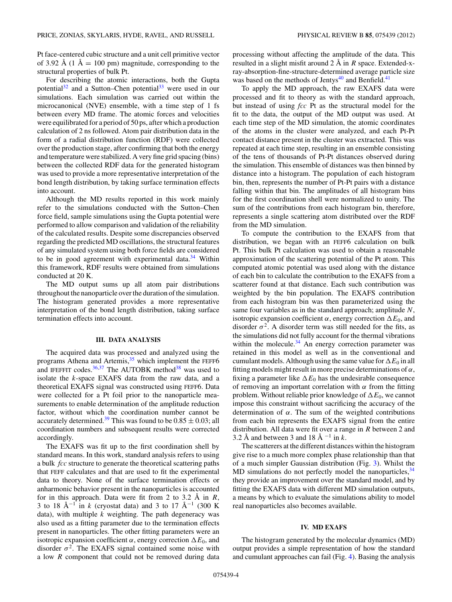Pt face-centered cubic structure and a unit cell primitive vector of 3.92 Å (1 Å  $= 100$  pm) magnitude, corresponding to the structural properties of bulk Pt.

For describing the atomic interactions, both the Gupta potential $^{32}$  $^{32}$  $^{32}$  and a Sutton–Chen potential $^{33}$  $^{33}$  $^{33}$  were used in our simulations. Each simulation was carried out within the microcanonical (NVE) ensemble, with a time step of 1 fs between every MD frame. The atomic forces and velocities were equilibrated for a period of 50 ps, after which a production calculation of 2 ns followed. Atom pair distribution data in the form of a radial distribution function (RDF) were collected over the production stage, after confirming that both the energy and temperature were stabilized. A very fine grid spacing (bins) between the collected RDF data for the generated histogram was used to provide a more representative interpretation of the bond length distribution, by taking surface termination effects into account.

Although the MD results reported in this work mainly refer to the simulations conducted with the Sutton–Chen force field, sample simulations using the Gupta potential were performed to allow comparison and validation of the reliability of the calculated results. Despite some discrepancies observed regarding the predicted MD oscillations, the structural features of any simulated system using both force fields are considered to be in good agreement with experimental data. $34$  Within this framework, RDF results were obtained from simulations conducted at 20 K.

The MD output sums up all atom pair distributions throughout the nanoparticle over the duration of the simulation. The histogram generated provides a more representative interpretation of the bond length distribution, taking surface termination effects into account.

# **III. DATA ANALYSIS**

The acquired data was processed and analyzed using the programs Athena and Artemis,<sup>35</sup> which implement the FEFF6 and IFEFFIT codes. $36,37$  The AUTOBK method<sup>38</sup> was used to isolate the *k*-space EXAFS data from the raw data, and a theoretical EXAFS signal was constructed using FEFF6. Data were collected for a Pt foil prior to the nanoparticle measurements to enable determination of the amplitude reduction factor, without which the coordination number cannot be accurately determined.<sup>[39](#page-13-0)</sup> This was found to be  $0.85 \pm 0.03$ ; all coordination numbers and subsequent results were corrected accordingly.

The EXAFS was fit up to the first coordination shell by standard means. In this work, standard analysis refers to using a bulk *fcc* structure to generate the theoretical scattering paths that FEFF calculates and that are used to fit the experimental data to theory. None of the surface termination effects or anharmonic behavior present in the nanoparticles is accounted for in this approach. Data were fit from 2 to 3.2  $\AA$  in  $R$ , 3 to 18  $\AA^{-1}$  in *k* (cryostat data) and 3 to 17  $\AA^{-1}$  (300 K data), with multiple *k* weighting. The path degeneracy was also used as a fitting parameter due to the termination effects present in nanoparticles. The other fitting parameters were an isotropic expansion coefficient  $\alpha$ , energy correction  $\Delta E_0$ , and disorder  $\sigma^2$ . The EXAFS signal contained some noise with a low *R* component that could not be removed during data processing without affecting the amplitude of the data. This resulted in a slight misfit around  $2 \text{ Å}$  in  $R$  space. Extended-xray-absorption-fine-structure-determined average particle size was based on the methods of Jentys $40$  and Benfield. $41$ 

To apply the MD approach, the raw EXAFS data were processed and fit to theory as with the standard approach, but instead of using *fcc* Pt as the structural model for the fit to the data, the output of the MD output was used. At each time step of the MD simulation, the atomic coordinates of the atoms in the cluster were analyzed, and each Pt-Pt contact distance present in the cluster was extracted. This was repeated at each time step, resulting in an ensemble consisting of the tens of thousands of Pt-Pt distances observed during the simulation. This ensemble of distances was then binned by distance into a histogram. The population of each histogram bin, then, represents the number of Pt-Pt pairs with a distance falling within that bin. The amplitudes of all histogram bins for the first coordination shell were normalized to unity. The sum of the contributions from each histogram bin, therefore, represents a single scattering atom distributed over the RDF from the MD simulation.

To compute the contribution to the EXAFS from that distribution, we began with an FEFF6 calculation on bulk Pt. This bulk Pt calculation was used to obtain a reasonable approximation of the scattering potential of the Pt atom. This computed atomic potential was used along with the distance of each bin to calculate the contribution to the EXAFS from a scatterer found at that distance. Each such contribution was weighted by the bin population. The EXAFS contribution from each histogram bin was then parameterized using the same four variables as in the standard approach; amplitude *N*, isotropic expansion coefficient  $\alpha$ , energy correction  $\Delta E_0$ , and disorder  $\sigma^2$ . A disorder term was still needed for the fits, as the simulations did not fully account for the thermal vibrations within the molecule. $34$  An energy correction parameter was retained in this model as well as in the conventional and cumulant models. Although using the same value for  $\Delta E_0$  in all fitting models might result in more precise determinations of *α*, fixing a parameter like  $\Delta E_0$  has the undesirable consequence of removing an important correlation with *α* from the fitting problem. Without reliable prior knowledge of  $\Delta E_0$ , we cannot impose this constraint without sacrificing the accuracy of the determination of  $\alpha$ . The sum of the weighted contributions from each bin represents the EXAFS signal from the entire distribution. All data were fit over a range in *R* between 2 and 3.2 Å and between 3 and 18 Å  $^{-1}$  in *k*.

The scatterers at the different distances within the histogram give rise to a much more complex phase relationship than that of a much simpler Gaussian distribution (Fig. [3\)](#page-4-0). Whilst the  $MD$  simulations do not perfectly model the nanoparticles,  $34$ they provide an improvement over the standard model, and by fitting the EXAFS data with different MD simulation outputs, a means by which to evaluate the simulations ability to model real nanoparticles also becomes available.

#### **IV. MD EXAFS**

The histogram generated by the molecular dynamics (MD) output provides a simple representation of how the standard and cumulant approaches can fail (Fig. [4\)](#page-4-0). Basing the analysis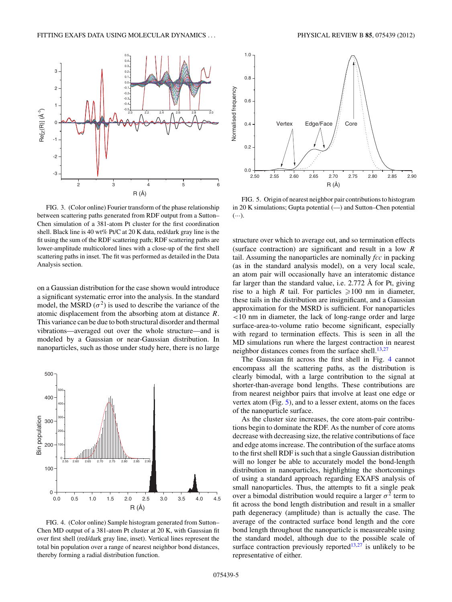<span id="page-4-0"></span>

FIG. 3. (Color online) Fourier transform of the phase relationship between scattering paths generated from RDF output from a Sutton– Chen simulation of a 381-atom Pt cluster for the first coordination shell. Black line is 40 wt% Pt/C at 20 K data, red/dark gray line is the fit using the sum of the RDF scattering path; RDF scattering paths are lower-amplitude multicolored lines with a close-up of the first shell scattering paths in inset. The fit was performed as detailed in the Data Analysis section.

on a Gaussian distribution for the case shown would introduce a significant systematic error into the analysis. In the standard model, the MSRD  $(\sigma^2)$  is used to describe the variance of the atomic displacement from the absorbing atom at distance *R*. This variance can be due to both structural disorder and thermal vibrations—averaged out over the whole structure—and is modeled by a Gaussian or near-Gaussian distribution. In nanoparticles, such as those under study here, there is no large



FIG. 4. (Color online) Sample histogram generated from Sutton– Chen MD output of a 381-atom Pt cluster at 20 K, with Gaussian fit over first shell (red/dark gray line, inset). Vertical lines represent the total bin population over a range of nearest neighbor bond distances, thereby forming a radial distribution function.



FIG. 5. Origin of nearest neighbor pair contributions to histogram in 20 K simulations; Gupta potential (—) and Sutton–Chen potential  $(\cdots).$ 

structure over which to average out, and so termination effects (surface contraction) are significant and result in a low *R* tail. Assuming the nanoparticles are nominally *fcc* in packing (as in the standard analysis model), on a very local scale, an atom pair will occasionally have an interatomic distance far larger than the standard value, i.e.  $2.772 \text{ Å}$  for Pt, giving rise to a high *R* tail. For particles  $\geq 100$  nm in diameter, these tails in the distribution are insignificant, and a Gaussian approximation for the MSRD is sufficient. For nanoparticles *<*10 nm in diameter, the lack of long-range order and large surface-area-to-volume ratio become significant, especially with regard to termination effects. This is seen in all the MD simulations run where the largest contraction in nearest neighbor distances comes from the surface shell. $13,27$  $13,27$ 

The Gaussian fit across the first shell in Fig. 4 cannot encompass all the scattering paths, as the distribution is clearly bimodal, with a large contribution to the signal at shorter-than-average bond lengths. These contributions are from nearest neighbor pairs that involve at least one edge or vertex atom (Fig. 5), and to a lesser extent, atoms on the faces of the nanoparticle surface.

As the cluster size increases, the core atom-pair contributions begin to dominate the RDF. As the number of core atoms decrease with decreasing size, the relative contributions of face and edge atoms increase. The contribution of the surface atoms to the first shell RDF is such that a single Gaussian distribution will no longer be able to accurately model the bond-length distribution in nanoparticles, highlighting the shortcomings of using a standard approach regarding EXAFS analysis of small nanoparticles. Thus, the attempts to fit a single peak over a bimodal distribution would require a larger  $\sigma^2$  term to fit across the bond length distribution and result in a smaller path degeneracy (amplitude) than is actually the case. The average of the contracted surface bond length and the core bond length throughout the nanoparticle is measureable using the standard model, although due to the possible scale of surface contraction previously reported<sup>13,[27](#page-13-0)</sup> is unlikely to be representative of either.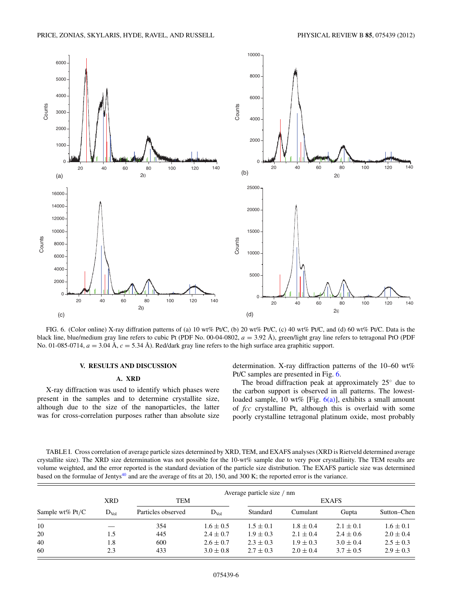<span id="page-5-0"></span>

FIG. 6. (Color online) X-ray diffration patterns of (a) 10 wt% Pt/C, (b) 20 wt% Pt/C, (c) 40 wt% Pt/C, and (d) 60 wt% Pt/C. Data is the black line, blue/medium gray line refers to cubic Pt (PDF No. 00-04-0802,  $a = 3.92$  Å), green/light gray line refers to tetragonal PtO (PDF No. 01-085-0714,  $a = 3.04$  Å,  $c = 5.34$  Å). Red/dark gray line refers to the high surface area graphitic support.

## **V. RESULTS AND DISCUSSION**

### **A. XRD**

X-ray diffraction was used to identify which phases were present in the samples and to determine crystallite size, although due to the size of the nanoparticles, the latter was for cross-correlation purposes rather than absolute size determination. X-ray diffraction patterns of the 10–60 wt% Pt/C samples are presented in Fig. 6.

The broad diffraction peak at approximately 25◦ due to the carbon support is observed in all patterns. The lowestloaded sample, 10 wt% [Fig.  $6(a)$ ], exhibits a small amount of *fcc* crystalline Pt, although this is overlaid with some poorly crystalline tetragonal platinum oxide, most probably

TABLE I. Cross correlation of average particle sizes determined by XRD, TEM, and EXAFS analyses (XRD is Rietveld determined average crystallite size). The XRD size determination was not possible for the 10-wt% sample due to very poor crystallinity. The TEM results are volume weighted, and the error reported is the standard deviation of the particle size distribution. The EXAFS particle size was determined based on the formulae of Jentys<sup>40</sup> and are the average of fits at 20, 150, and 300 K; the reported error is the variance.

|                   | Average particle size / nm |                    |                    |               |               |               |               |  |
|-------------------|----------------------------|--------------------|--------------------|---------------|---------------|---------------|---------------|--|
|                   | <b>XRD</b>                 | <b>TEM</b>         |                    |               |               | <b>EXAFS</b>  |               |  |
| Sample wt% $Pt/C$ | $D_{\text{Vol}}$           | Particles observed | $\mathrm{D_{Vol}}$ | Standard      | Cumulant      | Gupta         | Sutton–Chen   |  |
| 10                |                            | 354                | $1.6 \pm 0.5$      | $1.5 \pm 0.1$ | $1.8 \pm 0.4$ | $2.1 \pm 0.1$ | $1.6 \pm 0.1$ |  |
| 20                | 1.5                        | 445                | $2.4 \pm 0.7$      | $1.9 \pm 0.3$ | $2.1 \pm 0.4$ | $2.4 \pm 0.6$ | $2.0 \pm 0.4$ |  |
| 40                | 1.8                        | 600                | $2.6 \pm 0.7$      | $2.3 \pm 0.3$ | $1.9 \pm 0.3$ | $3.0 \pm 0.4$ | $2.5 \pm 0.3$ |  |
| 60                | 2.3                        | 433                | $3.0 \pm 0.8$      | $2.7 \pm 0.3$ | $2.0 \pm 0.4$ | $3.7 \pm 0.5$ | $2.9 \pm 0.3$ |  |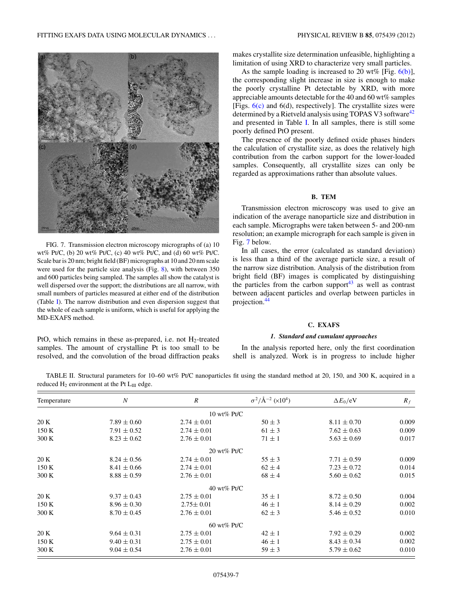<span id="page-6-0"></span>

FIG. 7. Transmission electron microscopy micrographs of (a) 10 wt% Pt/C, (b) 20 wt% Pt/C, (c) 40 wt% Pt/C, and (d) 60 wt% Pt/C. Scale bar is 20 nm; bright field (BF) micrographs at 10 and 20 nm scale were used for the particle size analysis (Fig. [8\)](#page-8-0), with between 350 and 600 particles being sampled. The samples all show the catalyst is well dispersed over the support; the distributions are all narrow, with small numbers of particles measured at either end of the distribution (Table [I\)](#page-5-0). The narrow distribution and even dispersion suggest that the whole of each sample is uniform, which is useful for applying the MD-EXAFS method.

PtO, which remains in these as-prepared, i.e. not H<sub>2</sub>-treated samples. The amount of crystalline Pt is too small to be resolved, and the convolution of the broad diffraction peaks makes crystallite size determination unfeasible, highlighting a limitation of using XRD to characterize very small particles.

As the sample loading is increased to 20 wt% [Fig.  $6(b)$ ], the corresponding slight increase in size is enough to make the poorly crystalline Pt detectable by XRD, with more appreciable amounts detectable for the 40 and 60 wt% samples [Figs.  $6(c)$  and  $6(d)$ , respectively]. The crystallite sizes were determined by a Rietveld analysis using TOPAS V3 software<sup>[42](#page-13-0)</sup> and presented in Table [I.](#page-5-0) In all samples, there is still some poorly defined PtO present.

The presence of the poorly defined oxide phases hinders the calculation of crystallite size, as does the relatively high contribution from the carbon support for the lower-loaded samples. Consequently, all crystallite sizes can only be regarded as approximations rather than absolute values.

### **B. TEM**

Transmission electron microscopy was used to give an indication of the average nanoparticle size and distribution in each sample. Micrographs were taken between 5- and 200-nm resolution; an example micrograph for each sample is given in Fig. 7 below.

In all cases, the error (calculated as standard deviation) is less than a third of the average particle size, a result of the narrow size distribution. Analysis of the distribution from bright field (BF) images is complicated by distinguishing the particles from the carbon support<sup>[43](#page-13-0)</sup> as well as contrast between adjacent particles and overlap between particles in projection.[44](#page-13-0)

### **C. EXAFS**

#### *1. Standard and cumulant approaches*

In the analysis reported here, only the first coordination shell is analyzed. Work is in progress to include higher

TABLE II. Structural parameters for 10–60 wt% Pt/C nanoparticles fit using the standard method at 20, 150, and 300 K, acquired in a reduced  $H_2$  environment at the Pt  $L_{III}$  edge.

| Temperature | $\boldsymbol{N}$ | $\boldsymbol{R}$               | $\sigma^2/\text{\AA}^{-2}$ (x10 <sup>4</sup> ) | $\Delta E_0/eV$ | $R_f$ |
|-------------|------------------|--------------------------------|------------------------------------------------|-----------------|-------|
|             |                  | 10 wt% Pt/C                    |                                                |                 |       |
| 20 K        | $7.89 \pm 0.60$  | $2.74 \pm 0.01$                | $50 \pm 3$                                     | $8.11 \pm 0.70$ | 0.009 |
| 150K        | $7.91 \pm 0.52$  | $2.74 \pm 0.01$                | $61 \pm 3$                                     | $7.62 \pm 0.63$ | 0.009 |
| 300 K       | $8.23 \pm 0.62$  | $2.76 \pm 0.01$                | $71 \pm 1$                                     | $5.63 \pm 0.69$ | 0.017 |
|             |                  | $20 \text{ wt}\% \text{ Pt/C}$ |                                                |                 |       |
| 20 K        | $8.24 \pm 0.56$  | $2.74 \pm 0.01$                | $55 \pm 3$                                     | $7.71 \pm 0.59$ | 0.009 |
| 150K        | $8.41 \pm 0.66$  | $2.74 \pm 0.01$                | $62 \pm 4$                                     | $7.23 \pm 0.72$ | 0.014 |
| 300 K       | $8.88 \pm 0.59$  | $2.76 \pm 0.01$                | $68 \pm 4$                                     | $5.60 \pm 0.62$ | 0.015 |
|             |                  | 40 wt% $Pt/C$                  |                                                |                 |       |
| 20 K        | $9.37 \pm 0.43$  | $2.75 \pm 0.01$                | $35 \pm 1$                                     | $8.72 \pm 0.50$ | 0.004 |
| 150 K       | $8.96 \pm 0.30$  | $2.75 \pm 0.01$                | $46 \pm 1$                                     | $8.14 \pm 0.29$ | 0.002 |
| 300 K       | $8.70 \pm 0.45$  | $2.76 \pm 0.01$                | $62 \pm 3$                                     | $5.46 \pm 0.52$ | 0.010 |
|             |                  | $60$ wt% Pt/C                  |                                                |                 |       |
| 20 K        | $9.64 \pm 0.31$  | $2.75 \pm 0.01$                | $42 \pm 1$                                     | $7.92 \pm 0.29$ | 0.002 |
| 150K        | $9.40 \pm 0.31$  | $2.75 \pm 0.01$                | $46 \pm 1$                                     | $8.43 \pm 0.34$ | 0.002 |
| 300 K       | $9.04 \pm 0.54$  | $2.76 \pm 0.01$                | $59 \pm 3$                                     | $5.79 \pm 0.62$ | 0.010 |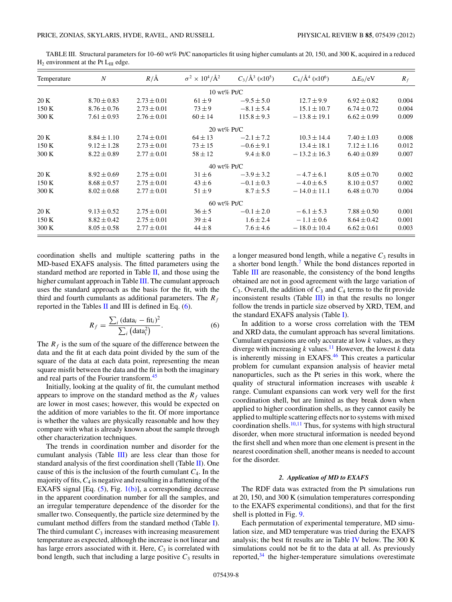| Temperature | $\boldsymbol{N}$ | $R/\text{\AA}$  | $\sigma^2 \times 10^4/\text{\AA}^2$ | $C_3/\AA^3$ (×10 <sup>5</sup> ) | $C_4/\AA^4$ (×10 <sup>6</sup> ) | $\Delta E_0 /$ eV | $R_f$ |
|-------------|------------------|-----------------|-------------------------------------|---------------------------------|---------------------------------|-------------------|-------|
|             |                  |                 | 10 wt% $Pt/C$                       |                                 |                                 |                   |       |
| 20 K        | $8.70 \pm 0.83$  | $2.73 \pm 0.01$ | $61 \pm 9$                          | $-9.5 \pm 5.0$                  | $12.7 \pm 9.9$                  | $6.92 \pm 0.82$   | 0.004 |
| 150K        | $8.76 \pm 0.76$  | $2.73 \pm 0.01$ | $73 + 9$                            | $-8.1 \pm 5.4$                  | $15.1 \pm 10.7$                 | $6.74 \pm 0.72$   | 0.004 |
| 300 K       | $7.61 \pm 0.93$  | $2.76 \pm 0.01$ | $60 \pm 14$                         | $115.8 \pm 9.3$                 | $-13.8 \pm 19.1$                | $6.62 \pm 0.99$   | 0.009 |
|             |                  |                 | $20 \text{ wt}\% \text{ Pt/C}$      |                                 |                                 |                   |       |
| 20 K        | $8.84 \pm 1.10$  | $2.74 \pm 0.01$ | $64 \pm 13$                         | $-2.1 \pm 7.2$                  | $10.3 \pm 14.4$                 | $7.40 \pm 1.03$   | 0.008 |
| 150K        | $9.12 \pm 1.28$  | $2.73 \pm 0.01$ | $73 \pm 15$                         | $-0.6 \pm 9.1$                  | $13.4 \pm 18.1$                 | $7.12 \pm 1.16$   | 0.012 |
| 300 K       | $8.22 \pm 0.89$  | $2.77 \pm 0.01$ | $58 \pm 12$                         | $9.4 \pm 8.0$                   | $-13.2 \pm 16.3$                | $6.40 \pm 0.89$   | 0.007 |
|             |                  |                 | 40 wt% $Pt/C$                       |                                 |                                 |                   |       |
| 20 K        | $8.92 \pm 0.69$  | $2.75 \pm 0.01$ | $31 \pm 6$                          | $-3.9 \pm 3.2$                  | $-4.7 \pm 6.1$                  | $8.05 \pm 0.70$   | 0.002 |
| 150K        | $8.68 \pm 0.57$  | $2.75 \pm 0.01$ | $43 \pm 6$                          | $-0.1 \pm 0.3$                  | $-4.0 \pm 6.5$                  | $8.10 \pm 0.57$   | 0.002 |
| 300 K       | $8.02 \pm 0.68$  | $2.77 \pm 0.01$ | $51 \pm 9$                          | $8.7 \pm 5.5$                   | $-14.0 \pm 11.1$                | $6.48 \pm 0.70$   | 0.004 |
|             |                  |                 | $60$ wt% Pt/C                       |                                 |                                 |                   |       |
| 20 K        | $9.13 \pm 0.52$  | $2.75 \pm 0.01$ | $36 \pm 5$                          | $-0.1 \pm 2.0$                  | $-6.1 \pm 5.3$                  | $7.88 \pm 0.50$   | 0.001 |
| 150K        | $8.82 \pm 0.42$  | $2.75 \pm 0.01$ | $39 \pm 4$                          | $1.6 \pm 2.4$                   | $-1.1 \pm 0.6$                  | $8.64 \pm 0.42$   | 0.001 |
| 300 K       | $8.05 \pm 0.58$  | $2.77 \pm 0.01$ | $44 \pm 8$                          | $7.6 \pm 4.6$                   | $-18.0 \pm 10.4$                | $6.62 \pm 0.61$   | 0.003 |

TABLE III. Structural parameters for 10–60 wt% Pt/C nanoparticles fit using higher cumulants at 20, 150, and 300 K, acquired in a reduced  $H_2$  environment at the Pt  $L_{III}$  edge.

coordination shells and multiple scattering paths in the MD-based EXAFS analysis. The fitted parameters using the standard method are reported in Table  $II$ , and those using the higher cumulant approach in Table III. The cumulant approach uses the standard approach as the basis for the fit, with the third and fourth cumulants as additional parameters. The *Rf* reported in the Tables [II](#page-6-0) and III is defined in Eq.  $(6)$ .

$$
R_f = \frac{\sum_i (\text{data}_i - \text{fit}_i)^2}{\sum_i (\text{data}_i^2)}.
$$
 (6)

The  $R_f$  is the sum of the square of the difference between the data and the fit at each data point divided by the sum of the square of the data at each data point, representing the mean square misfit between the data and the fit in both the imaginary and real parts of the Fourier transform.<sup>45</sup>

Initially, looking at the quality of fit, the cumulant method appears to improve on the standard method as the  $R_f$  values are lower in most cases; however, this would be expected on the addition of more variables to the fit. Of more importance is whether the values are physically reasonable and how they compare with what is already known about the sample through other characterization techniques.

The trends in coordination number and disorder for the cumulant analysis (Table III) are less clear than those for standard analysis of the first coordination shell (Table [II\)](#page-6-0). One cause of this is the inclusion of the fourth cumulant *C*4. In the majority of fits,  $C_4$  is negative and resulting in a flattening of the EXAFS signal [Eq.  $(5)$ , Fig.  $1(b)$ ], a corresponding decrease in the apparent coordination number for all the samples, and an irregular temperature dependence of the disorder for the smaller two. Consequently, the particle size determined by the cumulant method differs from the standard method (Table [I\)](#page-5-0). The third cumulant  $C_3$  increases with increasing measurement temperature as expected, although the increase is not linear and has large errors associated with it. Here,  $C_3$  is correlated with bond length, such that including a large positive  $C_3$  results in a longer measured bond length, while a negative  $C_3$  results in a shorter bond length.<sup>7</sup> While the bond distances reported in Table III are reasonable, the consistency of the bond lengths obtained are not in good agreement with the large variation of  $C_3$ . Overall, the addition of  $C_3$  and  $C_4$  terms to the fit provide inconsistent results (Table III) in that the results no longer follow the trends in particle size observed by XRD, TEM, and the standard EXAFS analysis (Table [I\)](#page-5-0).

In addition to a worse cross correlation with the TEM and XRD data, the cumulant approach has several limitations. Cumulant expansions are only accurate at low *k* values, as they diverge with increasing  $k$  values.<sup>[11](#page-12-0)</sup> However, the lowest  $k$  data is inherently missing in EXAFS.<sup>[46](#page-13-0)</sup> This creates a particular problem for cumulant expansion analysis of heavier metal nanoparticles, such as the Pt series in this work, where the quality of structural information increases with useable *k* range. Cumulant expansions can work very well for the first coordination shell, but are limited as they break down when applied to higher coordination shells, as they cannot easily be applied to multiple scattering effects nor to systems with mixed coordination shells.<sup>10,11</sup> Thus, for systems with high structural disorder, when more structural information is needed beyond the first shell and when more than one element is present in the nearest coordination shell, another means is needed to account for the disorder.

#### *2. Application of MD to EXAFS*

The RDF data was extracted from the Pt simulations run at 20, 150, and 300 K (simulation temperatures corresponding to the EXAFS experimental conditions), and that for the first shell is plotted in Fig. [9.](#page-9-0)

Each permutation of experimental temperature, MD simulation size, and MD temperature was tried during the EXAFS analysis; the best fit results are in Table [IV](#page-9-0) below. The 300 K simulations could not be fit to the data at all. As previously reported, $34$  the higher-temperature simulations overestimate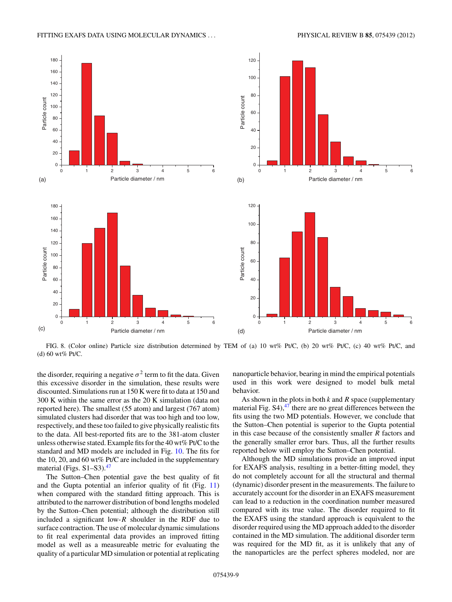<span id="page-8-0"></span>

FIG. 8. (Color online) Particle size distribution determined by TEM of (a) 10 wt% Pt/C, (b) 20 wt% Pt/C, (c) 40 wt% Pt/C, and (d) 60 wt% Pt/C.

the disorder, requiring a negative  $\sigma^2$  term to fit the data. Given this excessive disorder in the simulation, these results were discounted. Simulations run at 150 K were fit to data at 150 and 300 K within the same error as the 20 K simulation (data not reported here). The smallest (55 atom) and largest (767 atom) simulated clusters had disorder that was too high and too low, respectively, and these too failed to give physically realistic fits to the data. All best-reported fits are to the 381-atom cluster unless otherwise stated. Example fits for the 40 wt% Pt/C to the standard and MD models are included in Fig. [10.](#page-10-0) The fits for the 10, 20, and 60 wt% Pt/C are included in the supplementary material (Figs.  $S1-S3$ ).<sup>47</sup>

The Sutton–Chen potential gave the best quality of fit and the Gupta potential an inferior quality of fit (Fig. [11\)](#page-10-0) when compared with the standard fitting approach. This is attributed to the narrower distribution of bond lengths modeled by the Sutton–Chen potential; although the distribution still included a significant low-*R* shoulder in the RDF due to surface contraction. The use of molecular dynamic simulations to fit real experimental data provides an improved fitting model as well as a measureable metric for evaluating the quality of a particular MD simulation or potential at replicating

nanoparticle behavior, bearing in mind the empirical potentials used in this work were designed to model bulk metal behavior.

As shown in the plots in both *k* and *R* space (supplementary material Fig.  $S4$ ,  $47$  there are no great differences between the fits using the two MD potentials. However, we conclude that the Sutton–Chen potential is superior to the Gupta potential in this case because of the consistently smaller *R* factors and the generally smaller error bars. Thus, all the further results reported below will employ the Sutton–Chen potential.

Although the MD simulations provide an improved input for EXAFS analysis, resulting in a better-fitting model, they do not completely account for all the structural and thermal (dynamic) disorder present in the measurements. The failure to accurately account for the disorder in an EXAFS measurement can lead to a reduction in the coordination number measured compared with its true value. The disorder required to fit the EXAFS using the standard approach is equivalent to the disorder required using the MD approach added to the disorder contained in the MD simulation. The additional disorder term was required for the MD fit, as it is unlikely that any of the nanoparticles are the perfect spheres modeled, nor are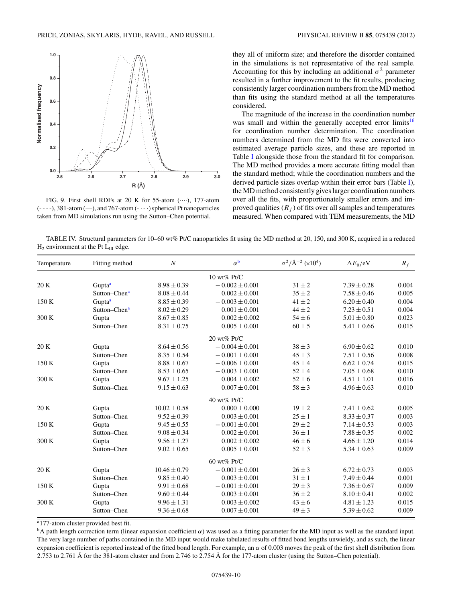<span id="page-9-0"></span>

FIG. 9. First shell RDFs at 20 K for 55-atom  $(\cdots)$ , 177-atom  $(- - -)$ , 381-atom  $(-)$ , and 767-atom  $(- - \cdot)$  spherical Pt nanoparticles taken from MD simulations run using the Sutton–Chen potential.

they all of uniform size; and therefore the disorder contained in the simulations is not representative of the real sample. Accounting for this by including an additional  $\sigma^2$  parameter resulted in a further improvement to the fit results, producing consistently larger coordination numbers from the MD method than fits using the standard method at all the temperatures considered.

The magnitude of the increase in the coordination number was small and within the generally accepted error limits<sup>16</sup> for coordination number determination. The coordination numbers determined from the MD fits were converted into estimated average particle sizes, and these are reported in Table [I](#page-5-0) alongside those from the standard fit for comparison. The MD method provides a more accurate fitting model than the standard method; while the coordination numbers and the derived particle sizes overlap within their error bars (Table [I\)](#page-5-0), the MD method consistently gives larger coordination numbers over all the fits, with proportionately smaller errors and improved qualities  $(R_f)$  of fits over all samples and temperatures measured. When compared with TEM measurements, the MD

TABLE IV. Structural parameters for 10–60 wt% Pt/C nanoparticles fit using the MD method at 20, 150, and 300 K, acquired in a reduced  $H_2$  environment at the Pt  $L_{III}$  edge.

| Temperature | Fitting method           | $\boldsymbol{N}$ | $\alpha^{\rm b}$   | $\sigma^2/\text{\AA}^{-2}$ (x10 <sup>4</sup> ) | $\Delta E_0 /$ eV | $R_f$ |
|-------------|--------------------------|------------------|--------------------|------------------------------------------------|-------------------|-------|
|             |                          |                  | $10$ wt% Pt/C      |                                                |                   |       |
| 20 K        | Gupta <sup>a</sup>       | $8.98 \pm 0.39$  | $-0.002 \pm 0.001$ | $31 \pm 2$                                     | $7.39 \pm 0.28$   | 0.004 |
|             | Sutton-Chen <sup>a</sup> | $8.08 \pm 0.44$  | $0.002 \pm 0.001$  | $35 \pm 2$                                     | $7.58 \pm 0.46$   | 0.005 |
| 150 K       | Gupta <sup>a</sup>       | $8.85 \pm 0.39$  | $-0.003 \pm 0.001$ | $41 \pm 2$                                     | $6.20 \pm 0.40$   | 0.004 |
|             | Sutton-Chen <sup>a</sup> | $8.02 \pm 0.29$  | $0.001 \pm 0.001$  | $44 \pm 2$                                     | $7.23 \pm 0.51$   | 0.004 |
| 300 K       | Gupta                    | $8.67 \pm 0.85$  | $0.002 \pm 0.002$  | $54 \pm 6$                                     | $5.01 \pm 0.80$   | 0.023 |
|             | Sutton-Chen              | $8.31 \pm 0.75$  | $0.005 \pm 0.001$  | $60 \pm 5$                                     | $5.41 \pm 0.66$   | 0.015 |
|             |                          |                  | $20$ wt% Pt/C      |                                                |                   |       |
| 20 K        | Gupta                    | $8.64 \pm 0.56$  | $-0.004 \pm 0.001$ | $38 \pm 3$                                     | $6.90 \pm 0.62$   | 0.010 |
|             | Sutton-Chen              | $8.35 \pm 0.54$  | $-0.001 \pm 0.001$ | $45 \pm 3$                                     | $7.51 \pm 0.56$   | 0.008 |
| 150 K       | Gupta                    | $8.88 \pm 0.67$  | $-0.006 \pm 0.001$ | $45 \pm 4$                                     | $6.62 \pm 0.74$   | 0.015 |
|             | Sutton-Chen              | $8.53 \pm 0.65$  | $-0.003 \pm 0.001$ | $52 \pm 4$                                     | $7.05 \pm 0.68$   | 0.010 |
| 300 K       | Gupta                    | $9.67 \pm 1.25$  | $0.004 \pm 0.002$  | $52 \pm 6$                                     | $4.51 \pm 1.01$   | 0.016 |
|             | Sutton-Chen              | $9.15 \pm 0.63$  | $0.007 \pm 0.001$  | $58 \pm 3$                                     | $4.96 \pm 0.63$   | 0.010 |
|             |                          |                  | 40 wt% Pt/C        |                                                |                   |       |
| 20 K        | Gupta                    | $10.02 \pm 0.58$ | $0.000 \pm 0.000$  | $19 \pm 2$                                     | $7.41 \pm 0.62$   | 0.005 |
|             | Sutton-Chen              | $9.52 \pm 0.39$  | $0.003 \pm 0.001$  | $25 \pm 1$                                     | $8.33 \pm 0.37$   | 0.003 |
| 150 K       | Gupta                    | $9.45 \pm 0.55$  | $-0.001 \pm 0.001$ | $29 \pm 2$                                     | $7.14 \pm 0.53$   | 0.003 |
|             | Sutton-Chen              | $9.08 \pm 0.34$  | $0.002 \pm 0.001$  | $36 \pm 1$                                     | $7.88 \pm 0.35$   | 0.002 |
| 300 K       | Gupta                    | $9.56 \pm 1.27$  | $0.002 \pm 0.002$  | $46 \pm 6$                                     | $4.66 \pm 1.20$   | 0.014 |
|             | Sutton-Chen              | $9.02 \pm 0.65$  | $0.005 \pm 0.001$  | $52 \pm 3$                                     | $5.34 \pm 0.63$   | 0.009 |
|             |                          |                  | $60$ wt% Pt/C      |                                                |                   |       |
| 20 K        | Gupta                    | $10.46 \pm 0.79$ | $-0.001 \pm 0.001$ | $26 \pm 3$                                     | $6.72 \pm 0.73$   | 0.003 |
|             | Sutton-Chen              | $9.85 \pm 0.40$  | $0.003 \pm 0.001$  | $31 \pm 1$                                     | $7.49 \pm 0.44$   | 0.001 |
| 150 K       | Gupta                    | $9.91 \pm 0.68$  | $-0.001 \pm 0.001$ | $29 \pm 3$                                     | $7.36 \pm 0.67$   | 0.009 |
|             | Sutton-Chen              | $9.60 \pm 0.44$  | $0.003 \pm 0.001$  | $36 \pm 2$                                     | $8.10 \pm 0.41$   | 0.002 |
| 300 K       | Gupta                    | $9.96 \pm 1.31$  | $0.003 \pm 0.002$  | $43 \pm 6$                                     | $4.81 \pm 1.23$   | 0.015 |
|             | Sutton-Chen              | $9.36 \pm 0.68$  | $0.007 \pm 0.001$  | $49 \pm 3$                                     | $5.39 \pm 0.62$   | 0.009 |

a<sup>177</sup>-atom cluster provided best fit.

bA path length correction term (linear expansion coefficient *α*) was used as a fitting parameter for the MD input as well as the standard input. The very large number of paths contained in the MD input would make tabulated results of fitted bond lengths unwieldy, and as such, the linear expansion coefficient is reported instead of the fitted bond length. For example, an *α* of 0.003 moves the peak of the first shell distribution from 2.753 to 2.761 Å for the 381-atom cluster and from 2.746 to 2.754 Å for the 177-atom cluster (using the Sutton–Chen potential).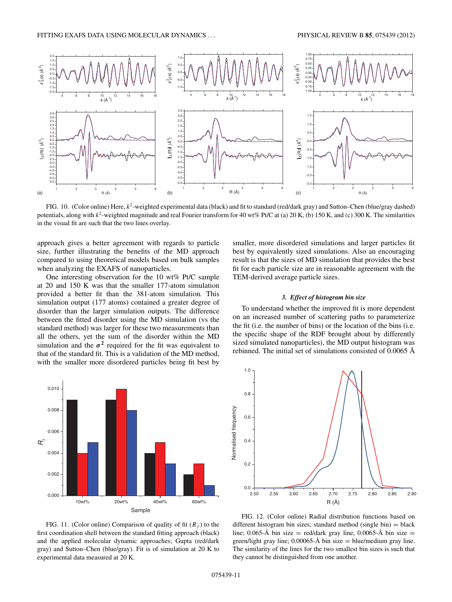<span id="page-10-0"></span>

FIG. 10. (Color online) Here,  $k^2$ -weighted experimental data (black) and fit to standard (red/dark gray) and Sutton–Chen (blue/gray dashed) potentials, along with  $k^2$ -weighted magnitude and real Fourier transform for 40 wt% Pt/C at (a) 20 K, (b) 150 K, and (c) 300 K. The similarities in the visual fit are such that the two lines overlay.

approach gives a better agreement with regards to particle size, further illustrating the benefits of the MD approach compared to using theoretical models based on bulk samples when analyzing the EXAFS of nanoparticles.

One interesting observation for the 10 wt% Pt/C sample at 20 and 150 K was that the smaller 177-atom simulation provided a better fit than the 381-atom simulation. This simulation output (177 atoms) contained a greater degree of disorder than the larger simulation outputs. The difference between the fitted disorder using the MD simulation (vs the standard method) was larger for these two measurements than all the others, yet the sum of the disorder within the MD simulation and the  $\sigma^2$  required for the fit was equivalent to that of the standard fit. This is a validation of the MD method, with the smaller more disordered particles being fit best by



FIG. 11. (Color online) Comparison of quality of fit  $(R_f)$  to the first coordination shell between the standard fitting approach (black) and the applied molecular dynamic approaches; Gupta (red/dark gray) and Sutton–Chen (blue/gray). Fit is of simulation at 20 K to experimental data measured at 20 K.

smaller, more disordered simulations and larger particles fit best by equivalently sized simulations. Also an encouraging result is that the sizes of MD simulation that provides the best fit for each particle size are in reasonable agreement with the TEM-derived average particle sizes.

## *3. Effect of histogram bin size*

To understand whether the improved fit is more dependent on an increased number of scattering paths to parameterize the fit (i.e. the number of bins) or the location of the bins (i.e. the specific shape of the RDF brought about by differently sized simulated nanoparticles), the MD output histogram was rebinned. The initial set of simulations consisted of  $0.0065 \text{ Å}$ 



FIG. 12. (Color online) Radial distribution functions based on different histogram bin sizes; standard method (single bin) = black line; 0.065-Å bin size = red/dark gray line, 0.0065-Å bin size = green/light gray line;  $0.00065 - \text{\AA}$  bin size = blue/medium gray line. The similarity of the lines for the two smallest bin sizes is such that they cannot be distinguished from one another.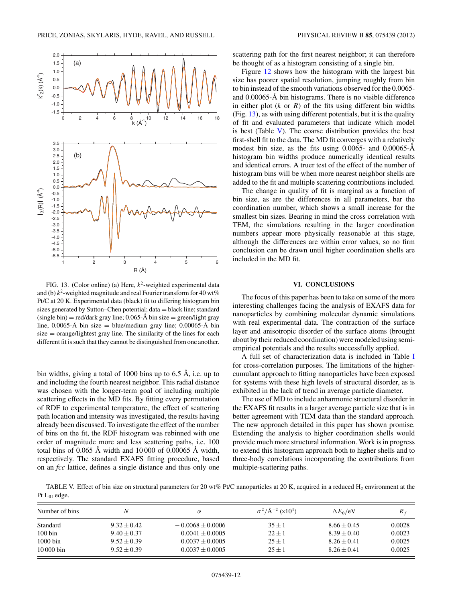

FIG. 13. (Color online) (a) Here,  $k^2$ -weighted experimental data and (b)  $k^2$ -weighted magnitude and real Fourier transform for 40 wt% Pt/C at 20 K. Experimental data (black) fit to differing histogram bin sizes generated by Sutton–Chen potential;  $data = black$  line; standard  $(single bin) = red/dark gray line; 0.065-A bin size = green-light gray$ line,  $0.0065-\text{\AA}$  bin size = blue/medium gray line; 0.00065- $\text{\AA}$  bin  $size = orange/lightest gray line$ . The similarity of the lines for each different fit is such that they cannot be distinguished from one another.

bin widths, giving a total of 1000 bins up to 6.5 Å, i.e. up to and including the fourth nearest neighbor. This radial distance was chosen with the longer-term goal of including multiple scattering effects in the MD fits. By fitting every permutation of RDF to experimental temperature, the effect of scattering path location and intensity was investigated, the results having already been discussed. To investigate the effect of the number of bins on the fit, the RDF histogram was rebinned with one order of magnitude more and less scattering paths, i.e. 100 total bins of 0.065 Å width and 10000 of 0.00065 Å width, respectively. The standard EXAFS fitting procedure, based on an *fcc* lattice, defines a single distance and thus only one scattering path for the first nearest neighbor; it can therefore be thought of as a histogram consisting of a single bin.

Figure [12](#page-10-0) shows how the histogram with the largest bin size has poorer spatial resolution, jumping roughly from bin to bin instead of the smooth variations observed for the 0.0065 and  $0.00065$ - $\AA$  bin histograms. There is no visible difference in either plot  $(k \text{ or } R)$  of the fits using different bin widths (Fig. 13), as with using different potentials, but it is the quality of fit and evaluated parameters that indicate which model is best (Table V). The coarse distribution provides the best first-shell fit to the data. The MD fit converges with a relatively modest bin size, as the fits using  $0.0065$ - and  $0.00065$ - $\AA$ histogram bin widths produce numerically identical results and identical errors. A truer test of the effect of the number of histogram bins will be when more nearest neighbor shells are added to the fit and multiple scattering contributions included.

The change in quality of fit is marginal as a function of bin size, as are the differences in all parameters, bar the coordination number, which shows a small increase for the smallest bin sizes. Bearing in mind the cross correlation with TEM, the simulations resulting in the larger coordination numbers appear more physically reasonable at this stage, although the differences are within error values, so no firm conclusion can be drawn until higher coordination shells are included in the MD fit.

### **VI. CONCLUSIONS**

The focus of this paper has been to take on some of the more interesting challenges facing the analysis of EXAFS data for nanoparticles by combining molecular dynamic simulations with real experimental data. The contraction of the surface layer and anisotropic disorder of the surface atoms (brought about by their reduced coordination) were modeled using semiempirical potentials and the results successfully applied.

A full set of characterization data is included in Table [I](#page-5-0) for cross-correlation purposes. The limitations of the highercumulant approach to fitting nanoparticles have been exposed for systems with these high levels of structural disorder, as is exhibited in the lack of trend in average particle diameter.

The use of MD to include anharmonic structural disorder in the EXAFS fit results in a larger average particle size that is in better agreement with TEM data than the standard approach. The new approach detailed in this paper has shown promise. Extending the analysis to higher coordination shells would provide much more structural information. Work is in progress to extend this histogram approach both to higher shells and to three-body correlations incorporating the contributions from multiple-scattering paths.

TABLE V. Effect of bin size on structural parameters for 20 wt% Pt/C nanoparticles at 20 K, acquired in a reduced  $H_2$  environment at the Pt L<sub>III</sub> edge.

| Number of bins         | N               | α                    | $\sigma^2/\AA^{-2}$ (x10 <sup>4</sup> ) | $\Delta E_0 /$ eV | R,     |
|------------------------|-----------------|----------------------|-----------------------------------------|-------------------|--------|
| Standard               | $9.32 \pm 0.42$ | $-0.0068 \pm 0.0006$ | $35 \pm 1$                              | $8.66 \pm 0.45$   | 0.0028 |
| $100 \,\mathrm{bin}$   | $9.40 \pm 0.37$ | $0.0041 \pm 0.0005$  | $22 \pm 1$                              | $8.39 \pm 0.40$   | 0.0023 |
| 1000 bin               | $9.52 \pm 0.39$ | $0.0037 \pm 0.0005$  | $25 \pm 1$                              | $8.26 \pm 0.41$   | 0.0025 |
| $10000 \,\mathrm{bin}$ | $9.52 \pm 0.39$ | $0.0037 \pm 0.0005$  | $25 \pm 1$                              | $8.26 \pm 0.41$   | 0.0025 |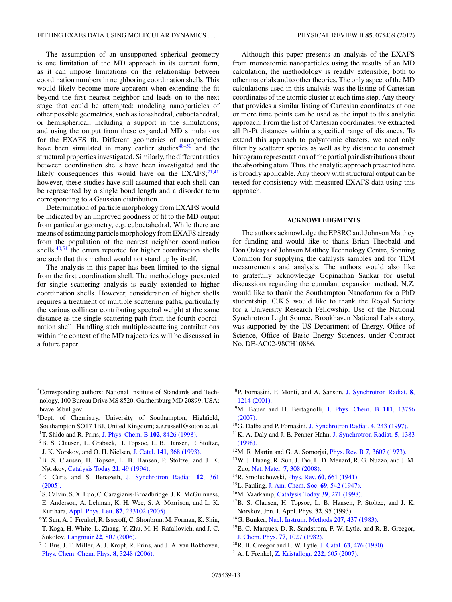<span id="page-12-0"></span>The assumption of an unsupported spherical geometry is one limitation of the MD approach in its current form, as it can impose limitations on the relationship between coordination numbers in neighboring coordination shells. This would likely become more apparent when extending the fit beyond the first nearest neighbor and leads on to the next stage that could be attempted: modeling nanoparticles of other possible geometries, such as icosahedral, cuboctahedral, or hemispherical; including a support in the simulations; and using the output from these expanded MD simulations for the EXAFS fit. Different geometries of nanoparticles have been simulated in many earlier studies $48-50$  and the structural properties investigated. Similarly, the different ratios between coordination shells have been investigated and the likely consequences this would have on the  $EXAFS$ ;  $21,41$  $21,41$ however, these studies have still assumed that each shell can be represented by a single bond length and a disorder term corresponding to a Gaussian distribution.

Determination of particle morphology from EXAFS would be indicated by an improved goodness of fit to the MD output from particular geometry, e.g. cuboctahedral. While there are means of estimating particle morphology from EXAFS already from the population of the nearest neighbor coordination shells, $40,51$  the errors reported for higher coordination shells are such that this method would not stand up by itself.

The analysis in this paper has been limited to the signal from the first coordination shell. The methodology presented for single scattering analysis is easily extended to higher coordination shells. However, consideration of higher shells requires a treatment of multiple scattering paths, particularly the various collinear contributing spectral weight at the same distance as the single scattering path from the fourth coordination shell. Handling such multiple-scattering contributions within the context of the MD trajectories will be discussed in a future paper.

Although this paper presents an analysis of the EXAFS from monoatomic nanoparticles using the results of an MD calculation, the methodology is readily extensible, both to other materials and to other theories. The only aspect of the MD calculations used in this analysis was the listing of Cartesian coordinates of the atomic cluster at each time step. Any theory that provides a similar listing of Cartesian coordinates at one or more time points can be used as the input to this analytic approach. From the list of Cartesian coordinates, we extracted all Pt-Pt distances within a specified range of distances. To extend this approach to polyatomic clusters, we need only filter by scatterer species as well as by distance to construct histogram representations of the partial pair distributions about the absorbing atom. Thus, the analytic approach presented here is broadly applicable. Any theory with structural output can be tested for consistency with measured EXAFS data using this approach.

### **ACKNOWLEDGMENTS**

The authors acknowledge the EPSRC and Johnson Matthey for funding and would like to thank Brian Theobald and Don Ozkaya of Johnson Matthey Technology Centre, Sonning Common for supplying the catalysts samples and for TEM measurements and analysis. The authors would also like to gratefully acknowledge Gopinathan Sankar for useful discussions regarding the cumulant expansion method. N.Z. would like to thank the Southampton Nanoforum for a PhD studentship. C.K.S would like to thank the Royal Society for a University Research Fellowship. Use of the National Synchrotron Light Source, Brookhaven National Laboratory, was supported by the US Department of Energy, Office of Science, Office of Basic Energy Sciences, under Contract No. DE-AC02-98CH10886.

- \* Corresponding authors: National Institute of Standards and Technology, 100 Bureau Drive MS 8520, Gaithersburg MD 20899, USA; bravel@bnl.gov
- † Dept. of Chemistry, University of Southampton, Highfield, Southampton SO17 1BJ, United Kingdom; a.e.russell@soton.ac.uk 1T. Shido and R. Prins, [J. Phys. Chem. B](http://dx.doi.org/10.1021/jp982322j) **102**, 8426 (1998).
- 2B. S. Clausen, L. Grabaek, H. Topsoe, L. B. Hansen, P. Stoltze, J. K. Norskov, and O. H. Nielsen, J. Catal. **141**[, 368 \(1993\).](http://dx.doi.org/10.1006/jcat.1993.1147)
- 3B. S. Clausen, H. Topsøe, L. B. Hansen, P. Stoltze, and J. K. Nørskov, [Catalysis Today](http://dx.doi.org/10.1016/0920-5861(94)80033-2) **21**, 49 (1994).
- 4E. Curis and S. Benazeth, [J. Synchrotron Radiat.](http://dx.doi.org/10.1107/S0909049504032261) **12**, 361 [\(2005\).](http://dx.doi.org/10.1107/S0909049504032261)
- 5S. Calvin, S. X. Luo, C. Caragianis-Broadbridge, J. K. McGuinness, E. Anderson, A. Lehman, K. H. Wee, S. A. Morrison, and L. K. Kurihara, [Appl. Phys. Lett.](http://dx.doi.org/10.1063/1.2137872) **87**, 233102 (2005).
- 6Y. Sun, A. I. Frenkel, R. Isseroff, C. Shonbrun, M. Forman, K. Shin, T. Koga, H. White, L. Zhang, Y. Zhu, M. H. Rafailovich, and J. C. Sokolov, Langmuir **22**[, 807 \(2006\).](http://dx.doi.org/10.1021/la052686k)
- ${}^{7}E$ . Bus, J. T. Miller, A. J. Kropf, R. Prins, and J. A. van Bokhoven, [Phys. Chem. Chem. Phys.](http://dx.doi.org/10.1039/b605248g) **8**, 3248 (2006).
- 8P. Fornasini, F. Monti, and A. Sanson, [J. Synchrotron Radiat.](http://dx.doi.org/10.1107/S0909049501014923) **8**, [1214 \(2001\).](http://dx.doi.org/10.1107/S0909049501014923)
- 9M. Bauer and H. Bertagnolli, [J. Phys. Chem. B](http://dx.doi.org/10.1021/jp076386i) **111**, 13756 [\(2007\).](http://dx.doi.org/10.1021/jp076386i)
- 10G. Dalba and P. Fornasini, [J. Synchrotron Radiat.](http://dx.doi.org/10.1107/S0909049597006900) **4**, 243 (1997).
- 11K. A. Daly and J. E. Penner-Hahn, [J. Synchrotron Radiat.](http://dx.doi.org/10.1107/S0909049598004336) **5**, 1383 [\(1998\).](http://dx.doi.org/10.1107/S0909049598004336)
- 12M. R. Martin and G. A. Somorjai, Phys. Rev. B **7**[, 3607 \(1973\).](http://dx.doi.org/10.1103/PhysRevB.7.3607)
- 13W. J. Huang, R. Sun, J. Tao, L. D. Menard, R. G. Nuzzo, and J. M. Zuo, Nat. Mater. **7**[, 308 \(2008\).](http://dx.doi.org/10.1038/nmat2132)
- 14R. Smoluchowski, Phys. Rev. **60**[, 661 \(1941\).](http://dx.doi.org/10.1103/PhysRev.60.661)
- 15L. Pauling, [J. Am. Chem. Soc.](http://dx.doi.org/10.1021/ja01195a024) **69**, 542 (1947).
- 16M. Vaarkamp, [Catalysis Today](http://dx.doi.org/10.1016/S0920-5861(97)00111-9) **39**, 271 (1998).
- 17B. S. Clausen, H. Topsoe, L. B. Hansen, P. Stoltze, and J. K. Norskov, Jpn. J. Appl. Phys. **32**, 95 (1993).
- 18G. Bunker, [Nucl. Instrum. Methods](http://dx.doi.org/10.1016/0167-5087(83)90655-5) **207**, 437 (1983).
- 19E. C. Marques, D. R. Sandstrom, F. W. Lytle, and R. B. Greegor, [J. Chem. Phys.](http://dx.doi.org/10.1063/1.443914) **77**, 1027 (1982).
- 20R. B. Greegor and F. W. Lytle, J. Catal. **63**[, 476 \(1980\).](http://dx.doi.org/10.1016/0021-9517(80)90102-5)
- 21A. I. Frenkel, [Z. Kristallogr.](http://dx.doi.org/10.1524/zkri.2007.222.11.605) **222**, 605 (2007).